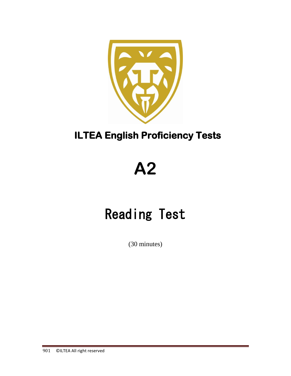

# **ILTEA English Proficiency Tests**

# **A2**

# Reading Test

(30 minutes)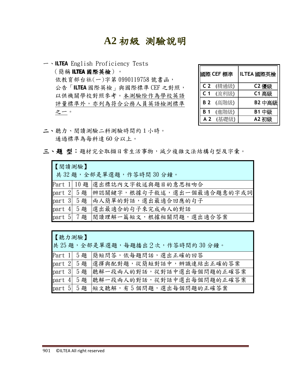# **A2** 初級測驗說明

一、ILTEA English Proficiency Tests (簡稱 ILTEA 國際英檢)。 依教育部台社(一)字第 0990119758 號書函, 公告「ILTEA 國際英檢」與國際標準 CEF 之對照, 以供機關學校對照參考。本測驗除作為學校英語 評量標準外,亦列為符合公務人員英語檢測標準 之一。

|                | 國際 CEF 標準 | ILTEA 國際英檢 |
|----------------|-----------|------------|
| C <sub>2</sub> | (精通級)     | C2 優級      |
| C <sub>1</sub> | (流利級)     | C1 高級      |
| <b>B2</b>      | (高階級)     | B2 中高級     |
| B 1            | (進階級)     | B1 中級      |
| A <sub>2</sub> | (基礎級)     | A2 初級      |

- 二、聽力、閱讀測驗二科測驗時間約 1 小時。 通過標準為每科達 60 分以上。
- 三、題型:題材完全取擷日常生活事物,減少複雜文法結構句型及字彙。

| 【閱讀測驗】<br>共32題,全部是單選題,作答時間30分鐘。 |  |                                      |  |  |  |
|---------------------------------|--|--------------------------------------|--|--|--|
|                                 |  | Part 1 10題 選出標誌內文字敘述與題目的意思相吻合        |  |  |  |
|                                 |  | part 2 5題 辨認關鍵字,根據句子敘述,選出一個最適合題意的字或詞 |  |  |  |
|                                 |  | part 3 5題 兩人簡單的對話,選出最適合回應的句子         |  |  |  |
|                                 |  | part 4 5題 選出最適合的句子來完成兩人的對話           |  |  |  |
|                                 |  | part 5 7題 閱讀理解一篇短文,根據相關問題,選出適合答案     |  |  |  |

| 【聽力測驗】 |            |                                    |
|--------|------------|------------------------------------|
|        |            | 共25題,全部是單選題,每題播出2次,作答時間約30分鐘。      |
|        |            | Part 1 5題 簡短問答,依每題問話,選出正確的回答       |
|        |            | part 2 5題 選擇與配對題,從簡短對話中,辨識連結出正確的答案 |
|        | part 3 5 題 | 聽解一段兩人的對話,從對話中選出每個問題的正確答案          |
|        | part 4 5 题 | 聽解一段兩人的對話,從對話中選出每個問題的正確答案          |
|        |            | part 5 5題 短文聽解, 有5個問題, 選出每個問題的正確答案 |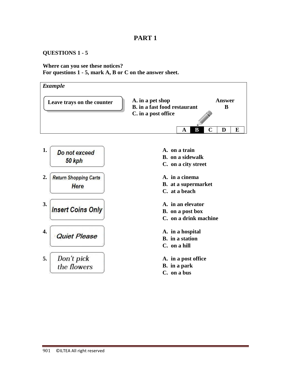#### **QUESTIONS 1 - 5**

**Where can you see these notices? For questions 1 - 5, mark A, B or C on the answer sheet.**

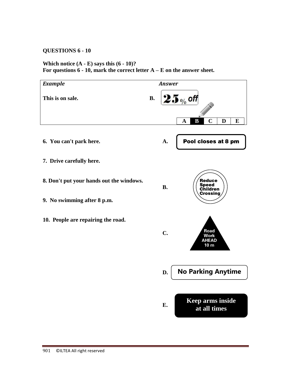### **QUESTIONS 6 - 10**

### **Which notice (A - E) says this (6 - 10)? For questions 6 - 10, mark the correct letter A – E on the answer sheet.**

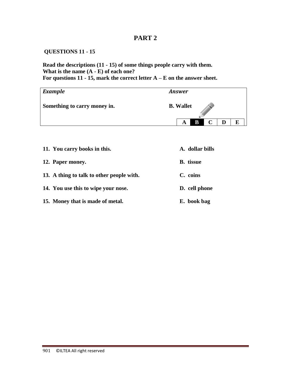### **QUESTIONS 11 - 15**

**Read the descriptions (11 - 15) of some things people carry with them. What is the name (A - E) of each one? For questions 11 - 15, mark the correct letter A – E on the answer sheet.**

| <b>Example</b>               | <b>Answer</b>    |
|------------------------------|------------------|
| Something to carry money in. | <b>B.</b> Wallet |
|                              | B<br>E<br>A      |

| 11. You carry books in this.              | A. dollar bills  |
|-------------------------------------------|------------------|
| 12. Paper money.                          | <b>B.</b> tissue |
| 13. A thing to talk to other people with. | C. coins         |
| 14. You use this to wipe your nose.       | D. cell phone    |
| 15. Money that is made of metal.          | E. book bag      |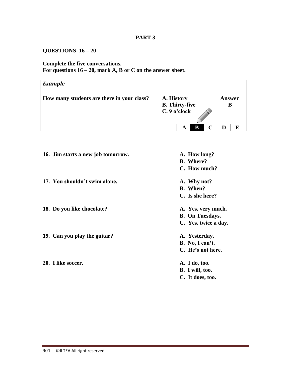# **QUESTIONS 16 – 20**

# **Complete the five conversations.**

**For questions 16 – 20, mark A, B or C on the answer sheet.**

| <b>Example</b>                             |                                                     |             |  |  |
|--------------------------------------------|-----------------------------------------------------|-------------|--|--|
| How many students are there in your class? | A. History<br><b>B.</b> Thirty-five<br>C. 9 o'clock | Answer<br>В |  |  |
|                                            | В<br>A                                              | E<br>D      |  |  |

| 16. Jim starts a new job tomorrow. | A. How long?           |
|------------------------------------|------------------------|
|                                    | <b>B.</b> Where?       |
|                                    | C. How much?           |
| 17. You shouldn't swim alone.      | A. Why not?            |
|                                    | <b>B.</b> When?        |
|                                    | C. Is she here?        |
| 18. Do you like chocolate?         | A. Yes, very much.     |
|                                    | <b>B.</b> On Tuesdays. |
|                                    | C. Yes, twice a day.   |
| 19. Can you play the guitar?       | A. Yesterday.          |
|                                    | B. No, I can't.        |
|                                    | C. He's not here.      |
| 20. I like soccer.                 | A. I do, too.          |
|                                    | B. I will, too.        |
|                                    | C. It does, too.       |
|                                    |                        |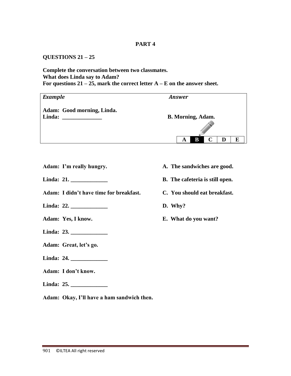### **QUESTIONS 21 – 25**

#### **Complete the conversation between two classmates. What does Linda say to Adam? For questions 21 – 25, mark the correct letter A – E on the answer sheet.**

| <b>Example</b>                       | <b>Answer</b>            |
|--------------------------------------|--------------------------|
| Adam: Good morning, Linda.<br>Linda: | <b>B. Morning, Adam.</b> |
|                                      | B<br>E<br>D<br>A         |

- Adam: I'm really hungry. A. The sandwiches are good.
- **Linda: 21. \_\_\_\_\_\_\_\_\_\_\_\_\_ B. The cafeteria is still open.**
- **Adam: I didn't have time for breakfast. C. You should eat breakfast.**
- **Linda: 22. \_\_\_\_\_\_\_\_\_\_\_\_\_ D. Why?**
- 
- **Linda: 23. \_\_\_\_\_\_\_\_\_\_\_\_\_**
- **Adam: Great, let's go.**
- **Linda: 24. \_\_\_\_\_\_\_\_\_\_\_\_\_**
- **Adam: I don't know.**
- **Linda: 25. \_\_\_\_\_\_\_\_\_\_\_\_\_**
- **Adam: Okay, I'll have a ham sandwich then.**

901 © ILTEA All right reserved

- 
- 
- 
- 
- **Adam: Yes, I know. E. What do you want?**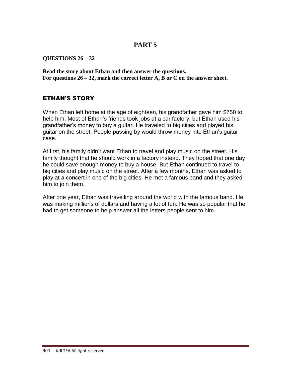**QUESTIONS 26 – 32**

**Read the story about Ethan and then answer the questions. For questions 26 – 32, mark the correct letter A, B or C on the answer sheet.**

## ETHAN'S STORY

When Ethan left home at the age of eighteen, his grandfather gave him \$750 to help him. Most of Ethan's friends took jobs at a car factory, but Ethan used his grandfather's money to buy a guitar. He traveled to big cities and played his guitar on the street. People passing by would throw money into Ethan's guitar case.

At first, his family didn't want Ethan to travel and play music on the street. His family thought that he should work in a factory instead. They hoped that one day he could save enough money to buy a house. But Ethan continued to travel to big cities and play music on the street. After a few months, Ethan was asked to play at a concert in one of the big cities. He met a famous band and they asked him to join them.

After one year, Ethan was travelling around the world with the famous band. He was making millions of dollars and having a lot of fun. He was so popular that he had to get someone to help answer all the letters people sent to him.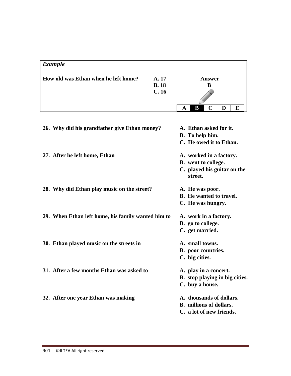# *Example*

| How old was Ethan when he left home? | A. 17       |   |   | Answer |  |  |
|--------------------------------------|-------------|---|---|--------|--|--|
|                                      | <b>B.18</b> |   |   |        |  |  |
|                                      | C.16        |   |   |        |  |  |
|                                      |             | A | B |        |  |  |

| 26. Why did his grandfather give Ethan money?      | A. Ethan asked for it.<br>B. To help him.<br>C. He owed it to Ethan.                            |
|----------------------------------------------------|-------------------------------------------------------------------------------------------------|
| 27. After he left home, Ethan                      | A. worked in a factory.<br><b>B.</b> went to college.<br>C. played his guitar on the<br>street. |
| 28. Why did Ethan play music on the street?        | A. He was poor.<br><b>B.</b> He wanted to travel.<br>C. He was hungry.                          |
| 29. When Ethan left home, his family wanted him to | A. work in a factory.<br>B. go to college.<br>C. get married.                                   |
| 30. Ethan played music on the streets in           | A. small towns.<br><b>B.</b> poor countries.<br>C. big cities.                                  |
| 31. After a few months Ethan was asked to          | A. play in a concert.<br>B. stop playing in big cities.<br>C. buy a house.                      |
| 32. After one year Ethan was making                | A. thousands of dollars.<br><b>B.</b> millions of dollars.<br>C. a lot of new friends.          |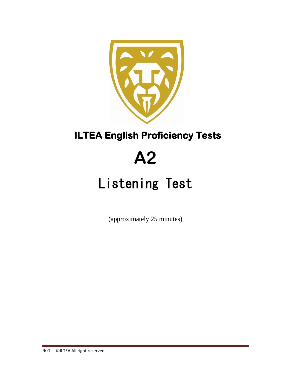

# **ILTEA English Proficiency Tests**

# **A2**

# Listening Test

(approximately 25 minutes)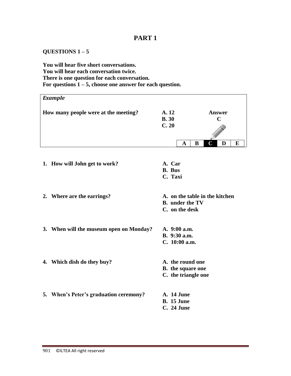### **QUESTIONS 1 – 5**

### **You will hear five short conversations. You will hear each conversation twice. There is one question for each conversation. For questions 1 – 5, choose one answer for each question.**

| <b>Example</b> |                                         |                                                                            |             |                              |                         |   |   |
|----------------|-----------------------------------------|----------------------------------------------------------------------------|-------------|------------------------------|-------------------------|---|---|
|                | How many people were at the meeting?    | A. 12<br><b>B.30</b><br>C.20                                               |             | <b>Answer</b><br>$\mathbf C$ |                         |   |   |
|                |                                         |                                                                            | $\mathbf A$ | B                            | $\overline{\mathbf{C}}$ | D | E |
|                | 1. How will John get to work?           | A. Car<br><b>B.</b> Bus<br>C. Taxi                                         |             |                              |                         |   |   |
|                | 2. Where are the earrings?              | A. on the table in the kitchen<br><b>B.</b> under the TV<br>C. on the desk |             |                              |                         |   |   |
|                | 3. When will the museum open on Monday? | A. 9:00 a.m.<br>B. 9:30 a.m.<br>C. 10:00 a.m.                              |             |                              |                         |   |   |
|                | 4. Which dish do they buy?              | A. the round one<br><b>B.</b> the square one<br>C. the triangle one        |             |                              |                         |   |   |
|                | 5. When's Peter's graduation ceremony?  | <b>A.</b> 14 June<br><b>B.</b> 15 June<br><b>C.</b> 24 June                |             |                              |                         |   |   |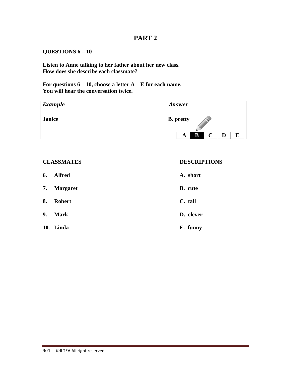### **QUESTIONS 6 – 10**

**Listen to Anne talking to her father about her new class. How does she describe each classmate?**

**For questions 6 – 10, choose a letter A – E for each name. You will hear the conversation twice.**

| <b>Example</b> | <b>Answer</b>                   |
|----------------|---------------------------------|
| <b>Janice</b>  | <b>B.</b> pretty<br>W           |
|                | B<br>$\mathbf C$<br>E<br>A<br>D |

#### **CLASSMATES DESCRIPTIONS**

| 6. | <b>Alfred</b> | A. short       |
|----|---------------|----------------|
|    | 7. Margaret   | <b>B.</b> cute |
| 8. | <b>Robert</b> | C. tall        |
| 9. | Mark          | D. clever      |
|    | 10. Linda     | E. funny       |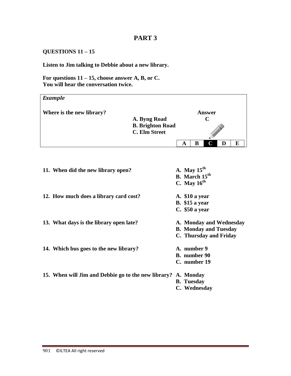### **QUESTIONS 11 – 15**

### **Listen to Jim talking to Debbie about a new library.**

**For questions 11 – 15, choose answer A, B, or C. You will hear the conversation twice.**

| <b>Example</b>                                                                                         |  |                                                                |                                                                                   |  |  |  |  |  |
|--------------------------------------------------------------------------------------------------------|--|----------------------------------------------------------------|-----------------------------------------------------------------------------------|--|--|--|--|--|
| Where is the new library?<br>A. Byng Road<br><b>B. Brighton Road</b><br><b>C. Elm Street</b><br>B<br>A |  | <b>Answer</b><br>$\mathbf C$<br>C                              | D<br>E                                                                            |  |  |  |  |  |
| 11. When did the new library open?                                                                     |  | A. May $15th$<br>B. March 15 <sup>th</sup><br>C. May $16^{th}$ |                                                                                   |  |  |  |  |  |
| 12. How much does a library card cost?                                                                 |  | A. \$10 a year<br><b>B.</b> \$15 a year<br>C. \$50 a year      |                                                                                   |  |  |  |  |  |
| 13. What days is the library open late?                                                                |  |                                                                | A. Monday and Wednesday<br><b>B. Monday and Tuesday</b><br>C. Thursday and Friday |  |  |  |  |  |
| 14. Which bus goes to the new library?                                                                 |  |                                                                | A. number 9<br><b>B.</b> number 90<br>C. number 19                                |  |  |  |  |  |
| 15. When will Jim and Debbie go to the new library? A. Monday                                          |  | <b>B.</b> Tuesday<br>C. Wednesday                              |                                                                                   |  |  |  |  |  |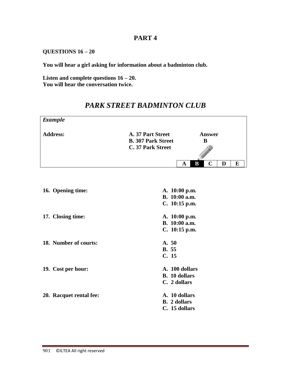### **QUESTIONS 16 – 20**

**You will hear a girl asking for information about a badminton club.**

**Listen and complete questions 16 – 20. You will hear the conversation twice.**

| <b>Example</b>          |                                                                     |                                        |             |   |   |
|-------------------------|---------------------------------------------------------------------|----------------------------------------|-------------|---|---|
| <b>Address:</b>         | A. 37 Part Street<br><b>B. 307 Park Street</b><br>C. 37 Park Street | <b>Answer</b><br>B                     |             |   |   |
|                         |                                                                     |                                        |             |   |   |
|                         |                                                                     | $\bf{B}$<br>$\mathbf A$                | $\mathbf C$ | D | E |
| 16. Opening time:       |                                                                     | A. 10:00 p.m.                          |             |   |   |
|                         |                                                                     | B. 10:00 a.m.<br>C. 10:15 p.m.         |             |   |   |
| 17. Closing time:       |                                                                     | A. 10:00 p.m.<br>B. 10:00 a.m.         |             |   |   |
|                         |                                                                     | C. 10:15 p.m.                          |             |   |   |
| 18. Number of courts:   | A. 50<br><b>B.</b> 55                                               |                                        |             |   |   |
|                         | C. 15                                                               |                                        |             |   |   |
| 19. Cost per hour:      |                                                                     | A. 100 dollars<br><b>B.</b> 10 dollars |             |   |   |
|                         |                                                                     | C. 2 dollars                           |             |   |   |
| 20. Racquet rental fee: |                                                                     | A. 10 dollars                          |             |   |   |
|                         |                                                                     | <b>B.</b> 2 dollars<br>C. 15 dollars   |             |   |   |
|                         |                                                                     |                                        |             |   |   |

# *PARK STREET BADMINTON CLUB*